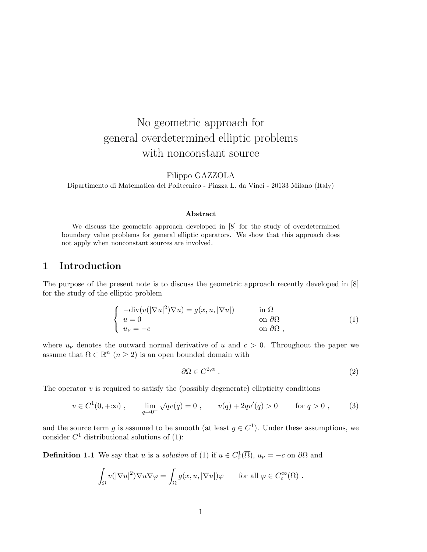# No geometric approach for general overdetermined elliptic problems with nonconstant source

Filippo GAZZOLA

Dipartimento di Matematica del Politecnico - Piazza L. da Vinci - 20133 Milano (Italy)

#### Abstract

We discuss the geometric approach developed in [8] for the study of overdetermined boundary value problems for general elliptic operators. We show that this approach does not apply when nonconstant sources are involved.

# 1 Introduction

The purpose of the present note is to discuss the geometric approach recently developed in [8] for the study of the elliptic problem

$$
\begin{cases}\n-\text{div}(v(|\nabla u|^2)\nabla u) = g(x, u, |\nabla u|) & \text{in } \Omega \\
u = 0 & \text{on } \partial\Omega \\
u_{\nu} = -c\n\end{cases}
$$
\n(1)

where  $u_{\nu}$  denotes the outward normal derivative of u and  $c > 0$ . Throughout the paper we assume that  $\Omega \subset \mathbb{R}^n$   $(n \geq 2)$  is an open bounded domain with

$$
\partial \Omega \in C^{2,\alpha} . \tag{2}
$$

The operator  $v$  is required to satisfy the (possibly degenerate) ellipticity conditions

$$
v \in C^1(0, +\infty)
$$
,  $\lim_{q \to 0^+} \sqrt{q}v(q) = 0$ ,  $v(q) + 2qv'(q) > 0$  for  $q > 0$ , (3)

and the source term g is assumed to be smooth (at least  $g \in C<sup>1</sup>$ ). Under these assumptions, we consider  $C^1$  distributional solutions of  $(1)$ :

**Definition 1.1** We say that u is a *solution* of (1) if  $u \in C_0^1(\overline{\Omega})$ ,  $u_{\nu} = -c$  on  $\partial\Omega$  and

$$
\int_{\Omega} v(|\nabla u|^2) \nabla u \nabla \varphi = \int_{\Omega} g(x, u, |\nabla u|) \varphi \quad \text{for all } \varphi \in C_c^{\infty}(\Omega) .
$$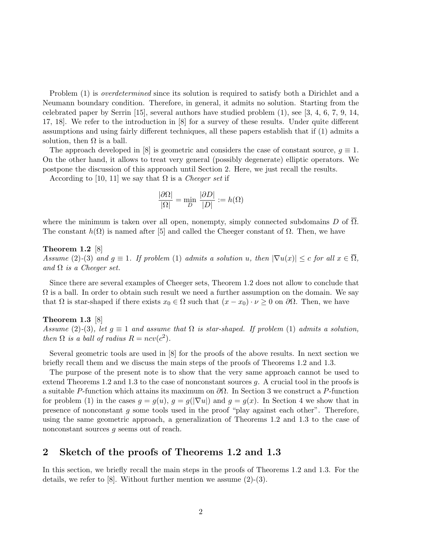Problem (1) is *overdetermined* since its solution is required to satisfy both a Dirichlet and a Neumann boundary condition. Therefore, in general, it admits no solution. Starting from the celebrated paper by Serrin  $[15]$ , several authors have studied problem  $(1)$ , see  $[3, 4, 6, 7, 9, 14,$ 17, 18]. We refer to the introduction in [8] for a survey of these results. Under quite different assumptions and using fairly different techniques, all these papers establish that if (1) admits a solution, then  $\Omega$  is a ball.

The approach developed in [8] is geometric and considers the case of constant source,  $q \equiv 1$ . On the other hand, it allows to treat very general (possibly degenerate) elliptic operators. We postpone the discussion of this approach until Section 2. Here, we just recall the results.

According to [10, 11] we say that  $\Omega$  is a *Cheeger set* if

$$
\frac{|\partial\Omega|}{|\Omega|} = \min_D \frac{|\partial D|}{|D|} := h(\Omega)
$$

where the minimum is taken over all open, nonempty, simply connected subdomains D of  $\overline{\Omega}$ . The constant  $h(\Omega)$  is named after [5] and called the Cheeger constant of  $\Omega$ . Then, we have

## Theorem 1.2 [8]

Assume (2)-(3) and  $g \equiv 1$ . If problem (1) admits a solution u, then  $|\nabla u(x)| \leq c$  for all  $x \in \overline{\Omega}$ , and  $\Omega$  is a Cheeger set.

Since there are several examples of Cheeger sets, Theorem 1.2 does not allow to conclude that  $\Omega$  is a ball. In order to obtain such result we need a further assumption on the domain. We say that  $\Omega$  is star-shaped if there exists  $x_0 \in \Omega$  such that  $(x - x_0) \cdot \nu \geq 0$  on  $\partial \Omega$ . Then, we have

#### Theorem 1.3 [8]

Assume (2)-(3), let  $g \equiv 1$  and assume that  $\Omega$  is star-shaped. If problem (1) admits a solution, then  $\Omega$  is a ball of radius  $R = ncv(c^2)$ .

Several geometric tools are used in [8] for the proofs of the above results. In next section we briefly recall them and we discuss the main steps of the proofs of Theorems 1.2 and 1.3.

The purpose of the present note is to show that the very same approach cannot be used to extend Theorems 1.2 and 1.3 to the case of nonconstant sources  $g$ . A crucial tool in the proofs is a suitable P-function which attains its maximum on ∂Ω. In Section 3 we construct a P-function for problem (1) in the cases  $g = g(u)$ ,  $g = g(\nabla u)$  and  $g = g(x)$ . In Section 4 we show that in presence of nonconstant g some tools used in the proof "play against each other". Therefore, using the same geometric approach, a generalization of Theorems 1.2 and 1.3 to the case of nonconstant sources q seems out of reach.

## 2 Sketch of the proofs of Theorems 1.2 and 1.3

In this section, we briefly recall the main steps in the proofs of Theorems 1.2 and 1.3. For the details, we refer to [8]. Without further mention we assume (2)-(3).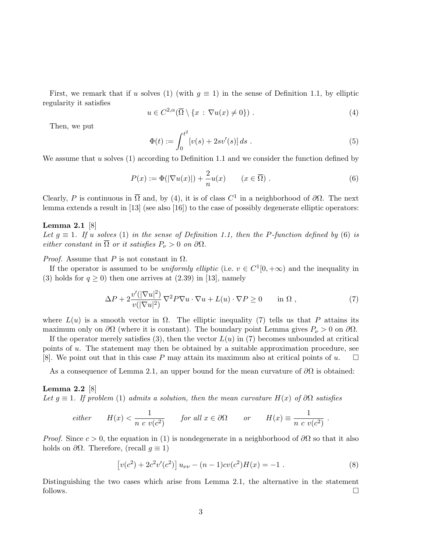First, we remark that if u solves (1) (with  $g \equiv 1$ ) in the sense of Definition 1.1, by elliptic regularity it satisfies

$$
u \in C^{2,\alpha}(\overline{\Omega} \setminus \{x : \nabla u(x) \neq 0\}) . \tag{4}
$$

Then, we put

$$
\Phi(t) := \int_0^{t^2} [v(s) + 2sv'(s)] ds . \tag{5}
$$

We assume that u solves  $(1)$  according to Definition 1.1 and we consider the function defined by

$$
P(x) := \Phi(|\nabla u(x)|) + \frac{2}{n}u(x) \qquad (x \in \overline{\Omega}).
$$
 (6)

Clearly, P is continuous in  $\overline{\Omega}$  and, by (4), it is of class  $C^1$  in a neighborhood of  $\partial\Omega$ . The next lemma extends a result in [13] (see also [16]) to the case of possibly degenerate elliptic operators:

### Lemma 2.1 [8]

Let  $g \equiv 1$ . If u solves (1) in the sense of Definition 1.1, then the P-function defined by (6) is either constant in  $\overline{\Omega}$  or it satisfies  $P_{\nu} > 0$  on  $\partial \Omega$ .

*Proof.* Assume that P is not constant in  $\Omega$ .

If the operator is assumed to be *uniformly elliptic* (i.e.  $v \in C^1[0, +\infty)$  and the inequality in (3) holds for  $q \ge 0$ ) then one arrives at  $(2.39)$  in [13], namely

$$
\Delta P + 2 \frac{v'(|\nabla u|^2)}{v(|\nabla u|^2)} \nabla^2 P \nabla u \cdot \nabla u + L(u) \cdot \nabla P \ge 0 \quad \text{in } \Omega ,
$$
 (7)

where  $L(u)$  is a smooth vector in  $\Omega$ . The elliptic inequality (7) tells us that P attains its maximum only on  $\partial\Omega$  (where it is constant). The boundary point Lemma gives  $P_{\nu} > 0$  on  $\partial\Omega$ .

If the operator merely satisfies (3), then the vector  $L(u)$  in (7) becomes unbounded at critical points of u. The statement may then be obtained by a suitable approximation procedure, see [8]. We point out that in this case P may attain its maximum also at critical points of u.  $\Box$ 

As a consequence of Lemma 2.1, an upper bound for the mean curvature of  $\partial\Omega$  is obtained:

Lemma 2.2 [8] Let  $g \equiv 1$ . If problem (1) admits a solution, then the mean curvature  $H(x)$  of  $\partial\Omega$  satisfies

$$
either \tH(x) < \frac{1}{n c v(c^2)} \tfor all x \in \partial\Omega \t or \tH(x) \equiv \frac{1}{n c v(c^2)}.
$$

*Proof.* Since  $c > 0$ , the equation in (1) is nondegenerate in a neighborhood of  $\partial\Omega$  so that it also holds on  $\partial\Omega$ . Therefore, (recall  $g \equiv 1$ )

$$
[v(c2) + 2c2v'(c2)] u\nu\nu - (n - 1)cv(c2)H(x) = -1.
$$
 (8)

Distinguishing the two cases which arise from Lemma 2.1, the alternative in the statement follows.  $\Box$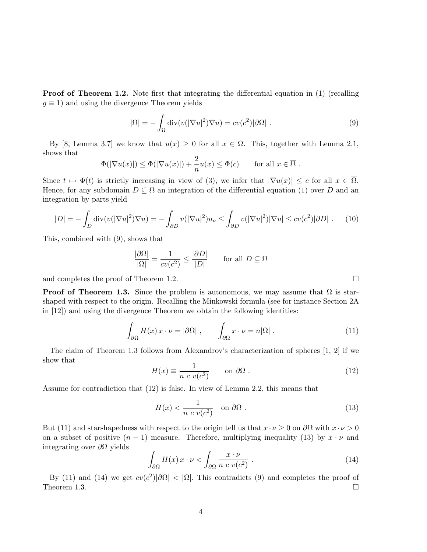**Proof of Theorem 1.2.** Note first that integrating the differential equation in (1) (recalling  $g \equiv 1$ ) and using the divergence Theorem yields

$$
|\Omega| = -\int_{\Omega} \operatorname{div}(v(|\nabla u|^2)\nabla u) = cv(c^2)|\partial\Omega|.
$$
 (9)

By [8, Lemma 3.7] we know that  $u(x) \geq 0$  for all  $x \in \overline{\Omega}$ . This, together with Lemma 2.1, shows that

$$
\Phi(|\nabla u(x)|) \le \Phi(|\nabla u(x)|) + \frac{2}{n}u(x) \le \Phi(c) \quad \text{for all } x \in \overline{\Omega} .
$$

Since  $t \mapsto \Phi(t)$  is strictly increasing in view of (3), we infer that  $|\nabla u(x)| \leq c$  for all  $x \in \overline{\Omega}$ . Hence, for any subdomain  $D \subseteq \Omega$  an integration of the differential equation (1) over D and an integration by parts yield

$$
|D| = -\int_D \operatorname{div}(v(|\nabla u|^2)\nabla u) = -\int_{\partial D} v(|\nabla u|^2)u_\nu \le \int_{\partial D} v(|\nabla u|^2)|\nabla u| \le cv(c^2)|\partial D| \ . \tag{10}
$$

This, combined with (9), shows that

$$
\frac{|\partial\Omega|}{|\Omega|} = \frac{1}{cv(c^2)} \le \frac{|\partial D|}{|D|} \quad \text{for all } D \subseteq \Omega
$$

and completes the proof of Theorem 1.2.  $\Box$ 

**Proof of Theorem 1.3.** Since the problem is autonomous, we may assume that  $\Omega$  is starshaped with respect to the origin. Recalling the Minkowski formula (see for instance Section 2A in [12]) and using the divergence Theorem we obtain the following identities:

$$
\int_{\partial\Omega} H(x) x \cdot \nu = |\partial\Omega| , \qquad \int_{\partial\Omega} x \cdot \nu = n|\Omega| . \tag{11}
$$

The claim of Theorem 1.3 follows from Alexandrov's characterization of spheres [1, 2] if we show that

$$
H(x) \equiv \frac{1}{n \ c \ v(c^2)} \qquad \text{on } \partial\Omega \ . \tag{12}
$$

Assume for contradiction that (12) is false. In view of Lemma 2.2, this means that

$$
H(x) < \frac{1}{n \ c \ v(c^2)} \quad \text{on } \partial\Omega \ . \tag{13}
$$

But (11) and starshapedness with respect to the origin tell us that  $x \cdot \nu \geq 0$  on  $\partial\Omega$  with  $x \cdot \nu > 0$ on a subset of positive  $(n - 1)$  measure. Therefore, multiplying inequality (13) by  $x \cdot \nu$  and integrating over  $\partial\Omega$  yields

$$
\int_{\partial\Omega} H(x) \, x \cdot \nu < \int_{\partial\Omega} \frac{x \cdot \nu}{n \, c \, v(c^2)} \,. \tag{14}
$$

By (11) and (14) we get  $cv(c^2)|\partial\Omega| < |\Omega|$ . This contradicts (9) and completes the proof of Theorem 1.3.  $\Box$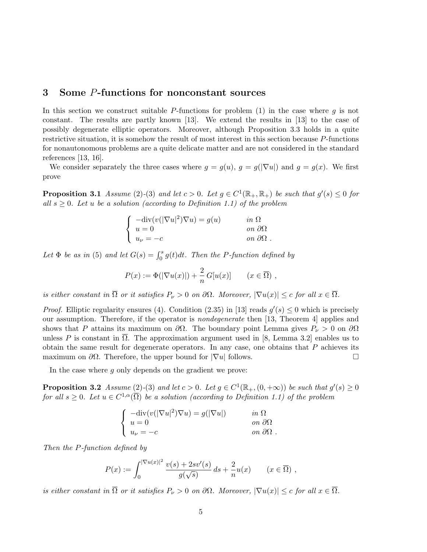# 3 Some P-functions for nonconstant sources

In this section we construct suitable  $P$ -functions for problem (1) in the case where  $q$  is not constant. The results are partly known [13]. We extend the results in [13] to the case of possibly degenerate elliptic operators. Moreover, although Proposition 3.3 holds in a quite restrictive situation, it is somehow the result of most interest in this section because P-functions for nonautonomous problems are a quite delicate matter and are not considered in the standard references [13, 16].

We consider separately the three cases where  $g = g(u)$ ,  $g = g(|\nabla u|)$  and  $g = g(x)$ . We first prove

**Proposition 3.1** Assume (2)-(3) and let  $c > 0$ . Let  $g \in C^1(\mathbb{R}_+, \mathbb{R}_+)$  be such that  $g'(s) \leq 0$  for all  $s \geq 0$ . Let u be a solution (according to Definition 1.1) of the problem

$$
\begin{cases}\n-\text{div}(v(|\nabla u|^2)\nabla u) = g(u) & \text{in } \Omega \\
u = 0 & \text{on } \partial\Omega \\
u_{\nu} = -c & \text{on } \partial\Omega\n\end{cases}
$$

Let  $\Phi$  be as in (5) and let  $G(s) = \int_0^s g(t)dt$ . Then the P-function defined by

$$
P(x) := \Phi(|\nabla u(x)|) + \frac{2}{n} G[u(x)] \qquad (x \in \overline{\Omega}),
$$

is either constant in  $\overline{\Omega}$  or it satisfies  $P_{\nu} > 0$  on  $\partial \Omega$ . Moreover,  $|\nabla u(x)| \leq c$  for all  $x \in \overline{\Omega}$ .

*Proof.* Elliptic regularity ensures (4). Condition (2.35) in [13] reads  $g'(s) \leq 0$  which is precisely our assumption. Therefore, if the operator is nondegenerate then [13, Theorem 4] applies and shows that P attains its maximum on  $\partial\Omega$ . The boundary point Lemma gives  $P_{\nu} > 0$  on  $\partial\Omega$ unless P is constant in  $\overline{\Omega}$ . The approximation argument used in [8, Lemma 3.2] enables us to obtain the same result for degenerate operators. In any case, one obtains that  $P$  achieves its maximum on  $\partial\Omega$ . Therefore, the upper bound for  $|\nabla u|$  follows.

In the case where g only depends on the gradient we prove:

**Proposition 3.2** Assume (2)-(3) and let  $c > 0$ . Let  $g \in C^1(\mathbb{R}_+, (0, +\infty))$  be such that  $g'(s) \geq 0$ for all  $s \geq 0$ . Let  $u \in C^{1,\alpha}(\overline{\Omega})$  be a solution (according to Definition 1.1) of the problem

$$
\begin{cases}\n-\text{div}(v(|\nabla u|^2)\nabla u) = g(|\nabla u|) & \text{in } \Omega \\
u = 0 & \text{on } \partial \Omega \\
u_{\nu} = -c & \text{on } \partial \Omega\n\end{cases}
$$

Then the P-function defined by

$$
P(x) := \int_0^{|\nabla u(x)|^2} \frac{v(s) + 2sv'(s)}{g(\sqrt{s})} ds + \frac{2}{n} u(x) \qquad (x \in \overline{\Omega}) ,
$$

is either constant in  $\overline{\Omega}$  or it satisfies  $P_{\nu} > 0$  on  $\partial \Omega$ . Moreover,  $|\nabla u(x)| \leq c$  for all  $x \in \overline{\Omega}$ .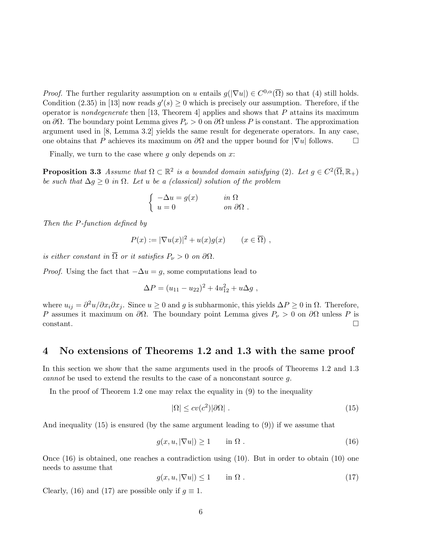*Proof.* The further regularity assumption on u entails  $g(|\nabla u|) \in C^{0,\alpha}(\overline{\Omega})$  so that (4) still holds. Condition (2.35) in [13] now reads  $g'(s) \geq 0$  which is precisely our assumption. Therefore, if the operator is *nondegenerate* then [13, Theorem 4] applies and shows that  $P$  attains its maximum on  $\partial\Omega$ . The boundary point Lemma gives  $P_{\nu} > 0$  on  $\partial\Omega$  unless P is constant. The approximation argument used in [8, Lemma 3.2] yields the same result for degenerate operators. In any case, one obtains that P achieves its maximum on  $\partial\Omega$  and the upper bound for  $|\nabla u|$  follows.  $\Box$ 

Finally, we turn to the case where q only depends on  $x$ :

**Proposition 3.3** Assume that  $\Omega \subset \mathbb{R}^2$  is a bounded domain satisfying (2). Let  $g \in C^2(\overline{\Omega}, \mathbb{R}_+)$ be such that  $\Delta q \geq 0$  in  $\Omega$ . Let u be a (classical) solution of the problem

$$
\begin{cases}\n-\Delta u = g(x) & \text{in } \Omega \\
u = 0 & \text{on } \partial\Omega\n\end{cases}
$$

Then the P-function defined by

$$
P(x) := |\nabla u(x)|^2 + u(x)g(x) \qquad (x \in \overline{\Omega}) ,
$$

is either constant in  $\overline{\Omega}$  or it satisfies  $P_{\nu} > 0$  on  $\partial \Omega$ .

*Proof.* Using the fact that  $-\Delta u = g$ , some computations lead to

$$
\Delta P = (u_{11} - u_{22})^2 + 4u_{12}^2 + u\Delta g,
$$

where  $u_{ij} = \frac{\partial^2 u}{\partial x_i \partial x_j}$ . Since  $u \ge 0$  and g is subharmonic, this yields  $\Delta P \ge 0$  in  $\Omega$ . Therefore, P assumes it maximum on  $\partial\Omega$ . The boundary point Lemma gives  $P_{\nu} > 0$  on  $\partial\Omega$  unless P is  $\Box$ constant.  $\Box$ 

## 4 No extensions of Theorems 1.2 and 1.3 with the same proof

In this section we show that the same arguments used in the proofs of Theorems 1.2 and 1.3 cannot be used to extend the results to the case of a nonconstant source g.

In the proof of Theorem 1.2 one may relax the equality in (9) to the inequality

$$
|\Omega| \le cv(c^2)|\partial\Omega| \ . \tag{15}
$$

And inequality (15) is ensured (by the same argument leading to (9)) if we assume that

$$
g(x, u, |\nabla u|) \ge 1 \qquad \text{in } \Omega. \tag{16}
$$

Once (16) is obtained, one reaches a contradiction using (10). But in order to obtain (10) one needs to assume that

$$
g(x, u, |\nabla u|) \le 1 \qquad \text{in } \Omega . \tag{17}
$$

Clearly, (16) and (17) are possible only if  $g \equiv 1$ .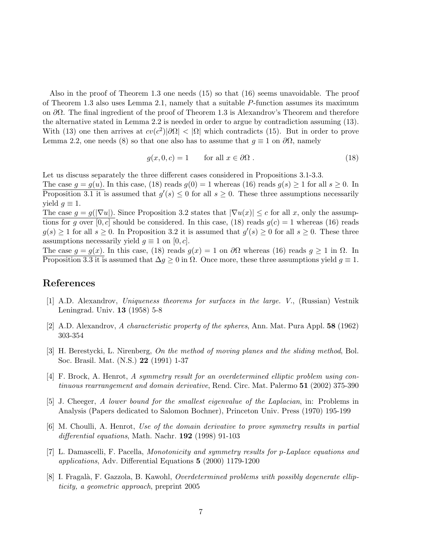Also in the proof of Theorem 1.3 one needs (15) so that (16) seems unavoidable. The proof of Theorem 1.3 also uses Lemma 2.1, namely that a suitable P-function assumes its maximum on  $\partial\Omega$ . The final ingredient of the proof of Theorem 1.3 is Alexandrov's Theorem and therefore the alternative stated in Lemma 2.2 is needed in order to argue by contradiction assuming (13). With (13) one then arrives at  $cv(c^2)|\partial\Omega| < |\Omega|$  which contradicts (15). But in order to prove Lemma 2.2, one needs (8) so that one also has to assume that  $g \equiv 1$  on  $\partial\Omega$ , namely

$$
g(x,0,c) = 1 \qquad \text{for all } x \in \partial\Omega \; . \tag{18}
$$

Let us discuss separately the three different cases considered in Propositions 3.1-3.3.

The case  $q = q(u)$ . In this case, (18) reads  $q(0) = 1$  whereas (16) reads  $q(s) \ge 1$  for all  $s \ge 0$ . In Proposition 3.1 it is assumed that  $g'(s) \leq 0$  for all  $s \geq 0$ . These three assumptions necessarily yield  $g \equiv 1$ .

The case  $g = g(|\nabla u|)$ . Since Proposition 3.2 states that  $|\nabla u(x)| \leq c$  for all x, only the assumptions for g over [0, c] should be considered. In this case, (18) reads  $g(c) = 1$  whereas (16) reads  $g(s) \geq 1$  for all  $s \geq 0$ . In Proposition 3.2 it is assumed that  $g'(s) \geq 0$  for all  $s \geq 0$ . These three assumptions necessarily yield  $g \equiv 1$  on [0, c].

The case  $g = g(x)$ . In this case, (18) reads  $g(x) = 1$  on  $\partial\Omega$  whereas (16) reads  $g \ge 1$  in  $\Omega$ . In Proposition 3.3 it is assumed that  $\Delta g \geq 0$  in  $\Omega$ . Once more, these three assumptions yield  $g \equiv 1$ .

# References

- [1] A.D. Alexandrov, Uniqueness theorems for surfaces in the large. V., (Russian) Vestnik Leningrad. Univ. 13 (1958) 5-8
- [2] A.D. Alexandrov, A characteristic property of the spheres, Ann. Mat. Pura Appl. 58 (1962) 303-354
- [3] H. Berestycki, L. Nirenberg, On the method of moving planes and the sliding method, Bol. Soc. Brasil. Mat. (N.S.) 22 (1991) 1-37
- [4] F. Brock, A. Henrot, A symmetry result for an overdetermined elliptic problem using continuous rearrangement and domain derivative, Rend. Circ. Mat. Palermo 51 (2002) 375-390
- [5] J. Cheeger, A lower bound for the smallest eigenvalue of the Laplacian, in: Problems in Analysis (Papers dedicated to Salomon Bochner), Princeton Univ. Press (1970) 195-199
- [6] M. Choulli, A. Henrot, Use of the domain derivative to prove symmetry results in partial differential equations, Math. Nachr. **192** (1998) 91-103
- [7] L. Damascelli, F. Pacella, Monotonicity and symmetry results for p-Laplace equations and applications, Adv. Differential Equations 5 (2000) 1179-1200
- [8] I. Fragalà, F. Gazzola, B. Kawohl, *Overdetermined problems with possibly degenerate ellip*ticity, a geometric approach, preprint 2005